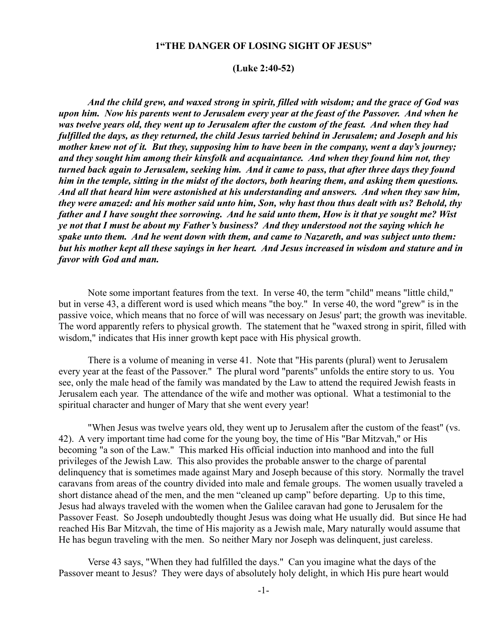## **1"THE DANGER OF LOSING SIGHT OF JESUS"**

#### **(Luke 2:40-52)**

*And the child grew, and waxed strong in spirit, filled with wisdom; and the grace of God was upon him. Now his parents went to Jerusalem every year at the feast of the Passover. And when he was twelve years old, they went up to Jerusalem after the custom of the feast. And when they had fulfilled the days, as they returned, the child Jesus tarried behind in Jerusalem; and Joseph and his mother knew not of it. But they, supposing him to have been in the company, went a day's journey; and they sought him among their kinsfolk and acquaintance. And when they found him not, they turned back again to Jerusalem, seeking him. And it came to pass, that after three days they found him in the temple, sitting in the midst of the doctors, both hearing them, and asking them questions. And all that heard him were astonished at his understanding and answers. And when they saw him, they were amazed: and his mother said unto him, Son, why hast thou thus dealt with us? Behold, thy father and I have sought thee sorrowing. And he said unto them, How is it that ye sought me? Wist ye not that I must be about my Father's business? And they understood not the saying which he spake unto them. And he went down with them, and came to Nazareth, and was subject unto them: but his mother kept all these sayings in her heart. And Jesus increased in wisdom and stature and in favor with God and man.*

Note some important features from the text. In verse 40, the term "child" means "little child," but in verse 43, a different word is used which means "the boy." In verse 40, the word "grew" is in the passive voice, which means that no force of will was necessary on Jesus' part; the growth was inevitable. The word apparently refers to physical growth. The statement that he "waxed strong in spirit, filled with wisdom," indicates that His inner growth kept pace with His physical growth.

There is a volume of meaning in verse 41. Note that "His parents (plural) went to Jerusalem every year at the feast of the Passover." The plural word "parents" unfolds the entire story to us. You see, only the male head of the family was mandated by the Law to attend the required Jewish feasts in Jerusalem each year. The attendance of the wife and mother was optional. What a testimonial to the spiritual character and hunger of Mary that she went every year!

"When Jesus was twelve years old, they went up to Jerusalem after the custom of the feast" (vs. 42). A very important time had come for the young boy, the time of His "Bar Mitzvah," or His becoming "a son of the Law." This marked His official induction into manhood and into the full privileges of the Jewish Law. This also provides the probable answer to the charge of parental delinquency that is sometimes made against Mary and Joseph because of this story. Normally the travel caravans from areas of the country divided into male and female groups. The women usually traveled a short distance ahead of the men, and the men "cleaned up camp" before departing. Up to this time, Jesus had always traveled with the women when the Galilee caravan had gone to Jerusalem for the Passover Feast. So Joseph undoubtedly thought Jesus was doing what He usually did. But since He had reached His Bar Mitzvah, the time of His majority as a Jewish male, Mary naturally would assume that He has begun traveling with the men. So neither Mary nor Joseph was delinquent, just careless.

Verse 43 says, "When they had fulfilled the days." Can you imagine what the days of the Passover meant to Jesus? They were days of absolutely holy delight, in which His pure heart would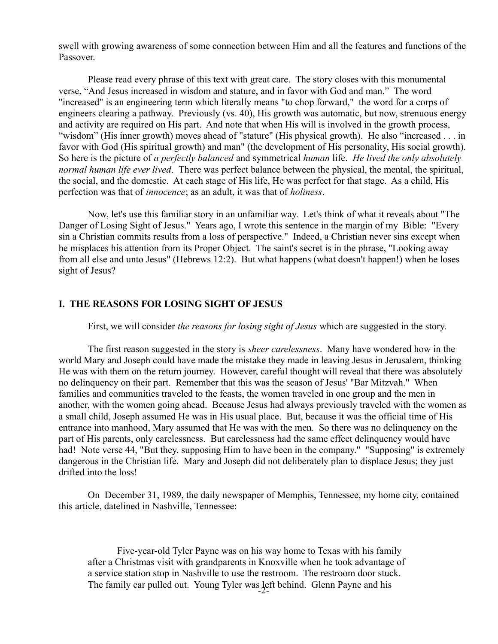swell with growing awareness of some connection between Him and all the features and functions of the Passover.

Please read every phrase of this text with great care. The story closes with this monumental verse, "And Jesus increased in wisdom and stature, and in favor with God and man." The word "increased" is an engineering term which literally means "to chop forward," the word for a corps of engineers clearing a pathway. Previously (vs. 40), His growth was automatic, but now, strenuous energy and activity are required on His part. And note that when His will is involved in the growth process, "wisdom" (His inner growth) moves ahead of "stature" (His physical growth). He also "increased . . . in favor with God (His spiritual growth) and man" (the development of His personality, His social growth). So here is the picture of *a perfectly balanced* and symmetrical *human* life. *He lived the only absolutely normal human life ever lived*. There was perfect balance between the physical, the mental, the spiritual, the social, and the domestic. At each stage of His life, He was perfect for that stage. As a child, His perfection was that of *innocence*; as an adult, it was that of *holiness*.

Now, let's use this familiar story in an unfamiliar way. Let's think of what it reveals about "The Danger of Losing Sight of Jesus." Years ago, I wrote this sentence in the margin of my Bible: "Every sin a Christian commits results from a loss of perspective." Indeed, a Christian never sins except when he misplaces his attention from its Proper Object. The saint's secret is in the phrase, "Looking away from all else and unto Jesus" (Hebrews 12:2). But what happens (what doesn't happen!) when he loses sight of Jesus?

# **I. THE REASONS FOR LOSING SIGHT OF JESUS**

First, we will consider *the reasons for losing sight of Jesus* which are suggested in the story.

The first reason suggested in the story is *sheer carelessness*. Many have wondered how in the world Mary and Joseph could have made the mistake they made in leaving Jesus in Jerusalem, thinking He was with them on the return journey. However, careful thought will reveal that there was absolutely no delinquency on their part. Remember that this was the season of Jesus' "Bar Mitzvah." When families and communities traveled to the feasts, the women traveled in one group and the men in another, with the women going ahead. Because Jesus had always previously traveled with the women as a small child, Joseph assumed He was in His usual place. But, because it was the official time of His entrance into manhood, Mary assumed that He was with the men. So there was no delinquency on the part of His parents, only carelessness. But carelessness had the same effect delinquency would have had! Note verse 44, "But they, supposing Him to have been in the company." "Supposing" is extremely dangerous in the Christian life. Mary and Joseph did not deliberately plan to displace Jesus; they just drifted into the loss!

On December 31, 1989, the daily newspaper of Memphis, Tennessee, my home city, contained this article, datelined in Nashville, Tennessee:

Five-year-old Tyler Payne was on his way home to Texas with his family after a Christmas visit with grandparents in Knoxville when he took advantage of a service station stop in Nashville to use the restroom. The restroom door stuck. The family car pulled out. Young Tyler was left behind. Glenn Payne and his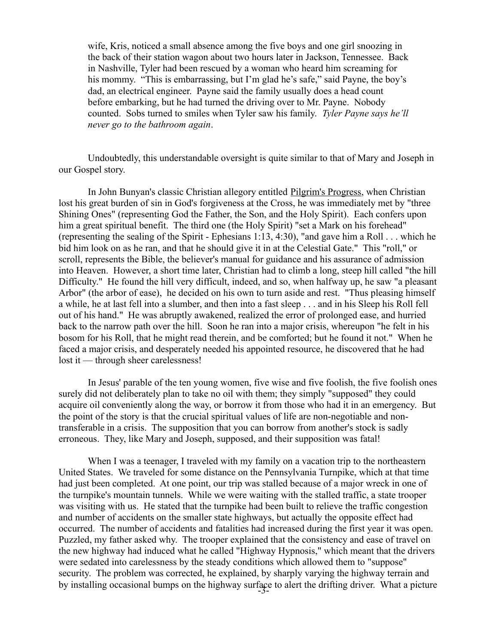wife, Kris, noticed a small absence among the five boys and one girl snoozing in the back of their station wagon about two hours later in Jackson, Tennessee. Back in Nashville, Tyler had been rescued by a woman who heard him screaming for his mommy. "This is embarrassing, but I'm glad he's safe," said Payne, the boy's dad, an electrical engineer. Payne said the family usually does a head count before embarking, but he had turned the driving over to Mr. Payne. Nobody counted. Sobs turned to smiles when Tyler saw his family. *Tyler Payne says he'll never go to the bathroom again*.

Undoubtedly, this understandable oversight is quite similar to that of Mary and Joseph in our Gospel story.

In John Bunyan's classic Christian allegory entitled Pilgrim's Progress, when Christian lost his great burden of sin in God's forgiveness at the Cross, he was immediately met by "three Shining Ones" (representing God the Father, the Son, and the Holy Spirit). Each confers upon him a great spiritual benefit. The third one (the Holy Spirit) "set a Mark on his forehead" (representing the sealing of the Spirit - Ephesians 1:13, 4:30), "and gave him a Roll . . . which he bid him look on as he ran, and that he should give it in at the Celestial Gate." This "roll," or scroll, represents the Bible, the believer's manual for guidance and his assurance of admission into Heaven. However, a short time later, Christian had to climb a long, steep hill called "the hill Difficulty." He found the hill very difficult, indeed, and so, when halfway up, he saw "a pleasant Arbor" (the arbor of ease), he decided on his own to turn aside and rest. "Thus pleasing himself a while, he at last fell into a slumber, and then into a fast sleep . . . and in his Sleep his Roll fell out of his hand." He was abruptly awakened, realized the error of prolonged ease, and hurried back to the narrow path over the hill. Soon he ran into a major crisis, whereupon "he felt in his bosom for his Roll, that he might read therein, and be comforted; but he found it not." When he faced a major crisis, and desperately needed his appointed resource, he discovered that he had lost it — through sheer carelessness!

In Jesus' parable of the ten young women, five wise and five foolish, the five foolish ones surely did not deliberately plan to take no oil with them; they simply "supposed" they could acquire oil conveniently along the way, or borrow it from those who had it in an emergency. But the point of the story is that the crucial spiritual values of life are non-negotiable and nontransferable in a crisis. The supposition that you can borrow from another's stock is sadly erroneous. They, like Mary and Joseph, supposed, and their supposition was fatal!

When I was a teenager, I traveled with my family on a vacation trip to the northeastern United States. We traveled for some distance on the Pennsylvania Turnpike, which at that time had just been completed. At one point, our trip was stalled because of a major wreck in one of the turnpike's mountain tunnels. While we were waiting with the stalled traffic, a state trooper was visiting with us. He stated that the turnpike had been built to relieve the traffic congestion and number of accidents on the smaller state highways, but actually the opposite effect had occurred. The number of accidents and fatalities had increased during the first year it was open. Puzzled, my father asked why. The trooper explained that the consistency and ease of travel on the new highway had induced what he called "Highway Hypnosis," which meant that the drivers were sedated into carelessness by the steady conditions which allowed them to "suppose" security. The problem was corrected, he explained, by sharply varying the highway terrain and by installing occasional bumps on the highway surface to alert the drifting driver. What a picture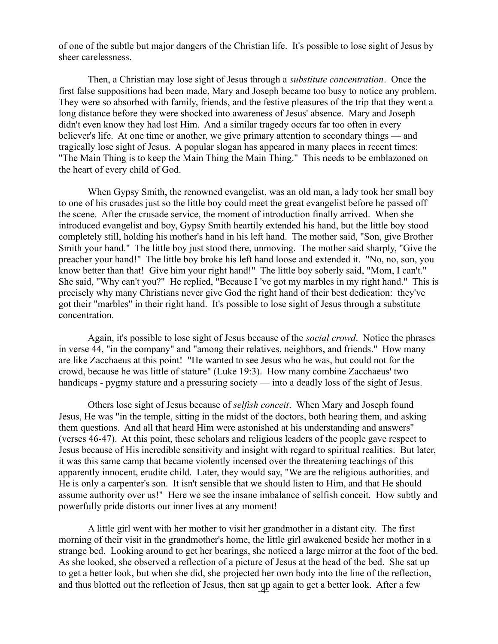of one of the subtle but major dangers of the Christian life. It's possible to lose sight of Jesus by sheer carelessness.

Then, a Christian may lose sight of Jesus through a *substitute concentration*. Once the first false suppositions had been made, Mary and Joseph became too busy to notice any problem. They were so absorbed with family, friends, and the festive pleasures of the trip that they went a long distance before they were shocked into awareness of Jesus' absence. Mary and Joseph didn't even know they had lost Him. And a similar tragedy occurs far too often in every believer's life. At one time or another, we give primary attention to secondary things — and tragically lose sight of Jesus. A popular slogan has appeared in many places in recent times: "The Main Thing is to keep the Main Thing the Main Thing." This needs to be emblazoned on the heart of every child of God.

When Gypsy Smith, the renowned evangelist, was an old man, a lady took her small boy to one of his crusades just so the little boy could meet the great evangelist before he passed off the scene. After the crusade service, the moment of introduction finally arrived. When she introduced evangelist and boy, Gypsy Smith heartily extended his hand, but the little boy stood completely still, holding his mother's hand in his left hand. The mother said, "Son, give Brother Smith your hand." The little boy just stood there, unmoving. The mother said sharply, "Give the preacher your hand!" The little boy broke his left hand loose and extended it. "No, no, son, you know better than that! Give him your right hand!" The little boy soberly said, "Mom, I can't." She said, "Why can't you?" He replied, "Because I 've got my marbles in my right hand." This is precisely why many Christians never give God the right hand of their best dedication: they've got their "marbles" in their right hand. It's possible to lose sight of Jesus through a substitute concentration.

Again, it's possible to lose sight of Jesus because of the *social crowd*. Notice the phrases in verse 44, "in the company" and "among their relatives, neighbors, and friends." How many are like Zacchaeus at this point! "He wanted to see Jesus who he was, but could not for the crowd, because he was little of stature" (Luke 19:3). How many combine Zacchaeus' two handicaps - pygmy stature and a pressuring society — into a deadly loss of the sight of Jesus.

Others lose sight of Jesus because of *selfish conceit*. When Mary and Joseph found Jesus, He was "in the temple, sitting in the midst of the doctors, both hearing them, and asking them questions. And all that heard Him were astonished at his understanding and answers" (verses 46-47). At this point, these scholars and religious leaders of the people gave respect to Jesus because of His incredible sensitivity and insight with regard to spiritual realities. But later, it was this same camp that became violently incensed over the threatening teachings of this apparently innocent, erudite child. Later, they would say, "We are the religious authorities, and He is only a carpenter's son. It isn't sensible that we should listen to Him, and that He should assume authority over us!" Here we see the insane imbalance of selfish conceit. How subtly and powerfully pride distorts our inner lives at any moment!

A little girl went with her mother to visit her grandmother in a distant city. The first morning of their visit in the grandmother's home, the little girl awakened beside her mother in a strange bed. Looking around to get her bearings, she noticed a large mirror at the foot of the bed. As she looked, she observed a reflection of a picture of Jesus at the head of the bed. She sat up to get a better look, but when she did, she projected her own body into the line of the reflection, and thus blotted out the reflection of Jesus, then sat  $\mu$  again to get a better look. After a few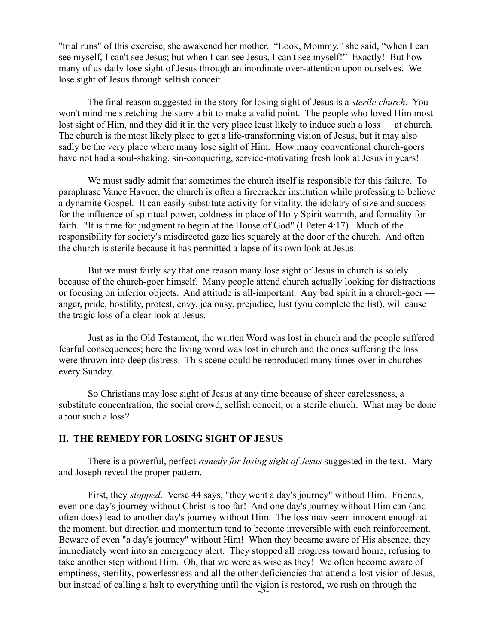"trial runs" of this exercise, she awakened her mother. "Look, Mommy," she said, "when I can see myself, I can't see Jesus; but when I can see Jesus, I can't see myself!" Exactly! But how many of us daily lose sight of Jesus through an inordinate over-attention upon ourselves. We lose sight of Jesus through selfish conceit.

The final reason suggested in the story for losing sight of Jesus is a *sterile church*. You won't mind me stretching the story a bit to make a valid point. The people who loved Him most lost sight of Him, and they did it in the very place least likely to induce such a loss — at church. The church is the most likely place to get a life-transforming vision of Jesus, but it may also sadly be the very place where many lose sight of Him. How many conventional church-goers have not had a soul-shaking, sin-conquering, service-motivating fresh look at Jesus in years!

We must sadly admit that sometimes the church itself is responsible for this failure. To paraphrase Vance Havner, the church is often a firecracker institution while professing to believe a dynamite Gospel. It can easily substitute activity for vitality, the idolatry of size and success for the influence of spiritual power, coldness in place of Holy Spirit warmth, and formality for faith. "It is time for judgment to begin at the House of God" (I Peter 4:17). Much of the responsibility for society's misdirected gaze lies squarely at the door of the church. And often the church is sterile because it has permitted a lapse of its own look at Jesus.

But we must fairly say that one reason many lose sight of Jesus in church is solely because of the church-goer himself. Many people attend church actually looking for distractions or focusing on inferior objects. And attitude is all-important. Any bad spirit in a church-goer anger, pride, hostility, protest, envy, jealousy, prejudice, lust (you complete the list), will cause the tragic loss of a clear look at Jesus.

Just as in the Old Testament, the written Word was lost in church and the people suffered fearful consequences; here the living word was lost in church and the ones suffering the loss were thrown into deep distress. This scene could be reproduced many times over in churches every Sunday.

So Christians may lose sight of Jesus at any time because of sheer carelessness, a substitute concentration, the social crowd, selfish conceit, or a sterile church. What may be done about such a loss?

## **II. THE REMEDY FOR LOSING SIGHT OF JESUS**

There is a powerful, perfect *remedy for losing sight of Jesus* suggested in the text. Mary and Joseph reveal the proper pattern.

First, they *stopped*. Verse 44 says, "they went a day's journey" without Him. Friends, even one day's journey without Christ is too far! And one day's journey without Him can (and often does) lead to another day's journey without Him. The loss may seem innocent enough at the moment, but direction and momentum tend to become irreversible with each reinforcement. Beware of even "a day's journey" without Him! When they became aware of His absence, they immediately went into an emergency alert. They stopped all progress toward home, refusing to take another step without Him. Oh, that we were as wise as they! We often become aware of emptiness, sterility, powerlessness and all the other deficiencies that attend a lost vision of Jesus, but instead of calling a halt to everything until the vision is restored, we rush on through the -5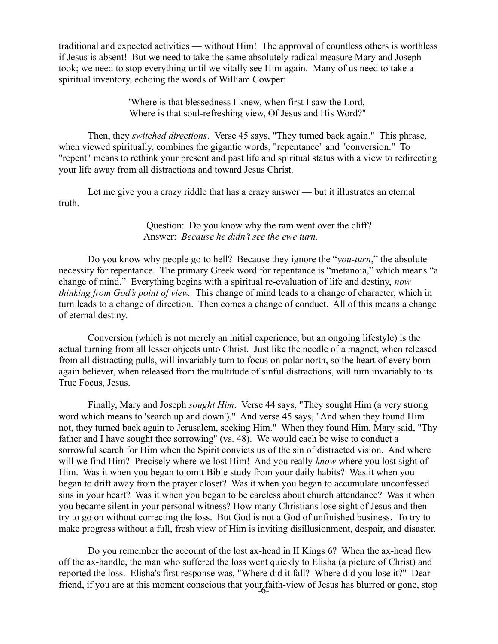traditional and expected activities — without Him! The approval of countless others is worthless if Jesus is absent! But we need to take the same absolutely radical measure Mary and Joseph took; we need to stop everything until we vitally see Him again. Many of us need to take a spiritual inventory, echoing the words of William Cowper:

> "Where is that blessedness I knew, when first I saw the Lord, Where is that soul-refreshing view, Of Jesus and His Word?"

Then, they *switched directions*. Verse 45 says, "They turned back again." This phrase, when viewed spiritually, combines the gigantic words, "repentance" and "conversion." To "repent" means to rethink your present and past life and spiritual status with a view to redirecting your life away from all distractions and toward Jesus Christ.

Let me give you a crazy riddle that has a crazy answer — but it illustrates an eternal truth.

## Question: Do you know why the ram went over the cliff? Answer: *Because he didn't see the ewe turn.*

Do you know why people go to hell? Because they ignore the "*you-turn*," the absolute necessity for repentance. The primary Greek word for repentance is "metanoia," which means "a change of mind." Everything begins with a spiritual re-evaluation of life and destiny, *now thinking from God's point of view.* This change of mind leads to a change of character, which in turn leads to a change of direction. Then comes a change of conduct. All of this means a change of eternal destiny.

Conversion (which is not merely an initial experience, but an ongoing lifestyle) is the actual turning from all lesser objects unto Christ. Just like the needle of a magnet, when released from all distracting pulls, will invariably turn to focus on polar north, so the heart of every bornagain believer, when released from the multitude of sinful distractions, will turn invariably to its True Focus, Jesus.

Finally, Mary and Joseph *sought Him*. Verse 44 says, "They sought Him (a very strong word which means to 'search up and down')." And verse 45 says, "And when they found Him not, they turned back again to Jerusalem, seeking Him." When they found Him, Mary said, "Thy father and I have sought thee sorrowing" (vs. 48). We would each be wise to conduct a sorrowful search for Him when the Spirit convicts us of the sin of distracted vision. And where will we find Him? Precisely where we lost Him! And you really *know* where you lost sight of Him. Was it when you began to omit Bible study from your daily habits? Was it when you began to drift away from the prayer closet? Was it when you began to accumulate unconfessed sins in your heart? Was it when you began to be careless about church attendance? Was it when you became silent in your personal witness? How many Christians lose sight of Jesus and then try to go on without correcting the loss. But God is not a God of unfinished business. To try to make progress without a full, fresh view of Him is inviting disillusionment, despair, and disaster.

Do you remember the account of the lost ax-head in II Kings 6? When the ax-head flew off the ax-handle, the man who suffered the loss went quickly to Elisha (a picture of Christ) and reported the loss. Elisha's first response was, "Where did it fall? Where did you lose it?" Dear friend, if you are at this moment conscious that your faith-view of Jesus has blurred or gone, stop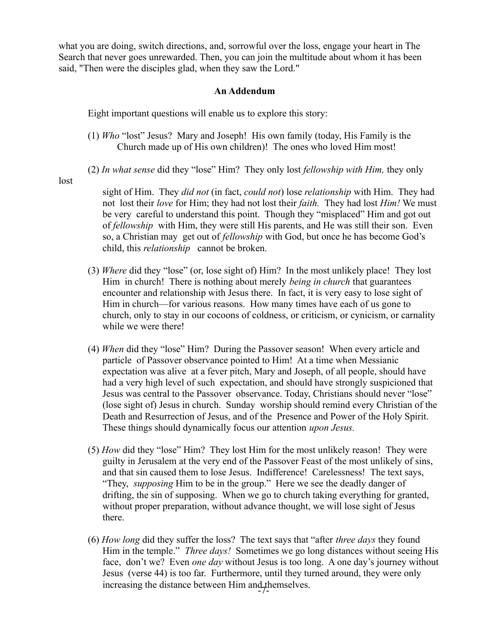what you are doing, switch directions, and, sorrowful over the loss, engage your heart in The Search that never goes unrewarded. Then, you can join the multitude about whom it has been said, "Then were the disciples glad, when they saw the Lord."

## **An Addendum**

Eight important questions will enable us to explore this story:

- (1) *Who* "lost" Jesus? Mary and Joseph! His own family (today, His Family is the Church made up of His own children)! The ones who loved Him most!
- (2) *In what sense* did they "lose" Him? They only lost *fellowship with Him,* they only

lost

 sight of Him. They *did not* (in fact, *could not*) lose *relationship* with Him. They had not lost their *love* for Him; they had not lost their *faith.* They had lost *Him!* We must be very careful to understand this point. Though they "misplaced" Him and got out of *fellowship* with Him, they were still His parents, and He was still their son. Even so, a Christian may get out of *fellowship* with God, but once he has become God's child, this *relationship* cannot be broken.

- (3) *Where* did they "lose" (or, lose sight of) Him? In the most unlikely place! They lost Him in church! There is nothing about merely *being in church* that guarantees encounter and relationship with Jesus there. In fact, it is very easy to lose sight of Him in church—for various reasons. How many times have each of us gone to church, only to stay in our cocoons of coldness, or criticism, or cynicism, or carnality while we were there!
- (4) *When* did they "lose" Him? During the Passover season! When every article and particle of Passover observance pointed to Him! At a time when Messianic expectation was alive at a fever pitch, Mary and Joseph, of all people, should have had a very high level of such expectation, and should have strongly suspicioned that Jesus was central to the Passover observance. Today, Christians should never "lose" (lose sight of) Jesus in church. Sunday worship should remind every Christian of the Death and Resurrection of Jesus, and of the Presence and Power of the Holy Spirit. These things should dynamically focus our attention *upon Jesus.*
- (5) *How* did they "lose" Him? They lost Him for the most unlikely reason! They were guilty in Jerusalem at the very end of the Passover Feast of the most unlikely of sins, and that sin caused them to lose Jesus. Indifference! Carelessness! The text says, "They, *supposing* Him to be in the group." Here we see the deadly danger of drifting, the sin of supposing. When we go to church taking everything for granted, without proper preparation, without advance thought, we will lose sight of Jesus there.
- (6) *How long* did they suffer the loss? The text says that "after *three days* they found Him in the temple." *Three days!* Sometimes we go long distances without seeing His face, don't we? Even *one day* without Jesus is too long. A one day's journey without Jesus (verse 44) is too far. Furthermore, until they turned around, they were only increasing the distance between  $\lim_{t \to \infty} \frac{1}{t}$  themselves.